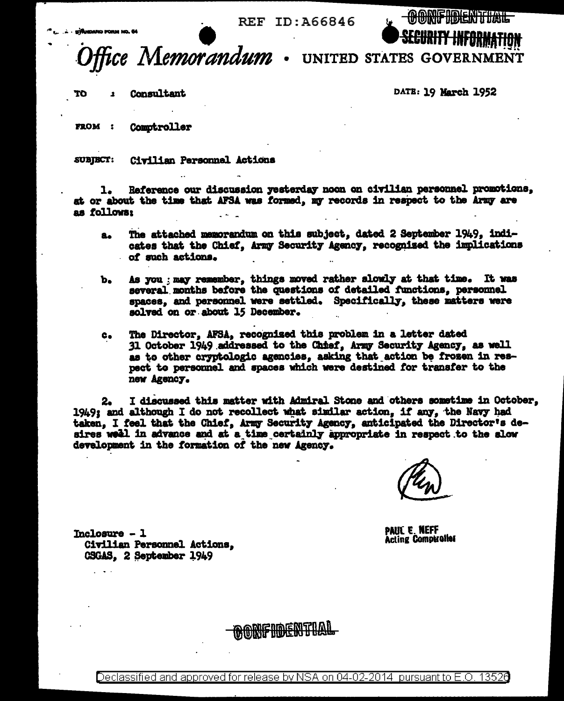REF ID: 466846

ice Memorandum.

UNITED STATES GOVERNMENT

Consultant ተስ

DATE: 19 March 1952

**FROM :** Comptroller

**SUBIECT:** Civilian Personnel Actions

Reference our discussion yesterday noon on civilian personnel promotions. 1. at or about the time that AFSA was formed, my records in respect to the Army are as follows:

- The attached memorandum on this subject, dated 2 September 1949, indi $a_{\bullet}$ cates that the Chief. Army Security Agency, recognized the implications of such actions.
- As you ; may remember, things moved rather slowly at that time. It was  $\mathbf{b}_{\bullet}$ several months before the questions of detailed functions, personnel spaces, and personnel were settled. Specifically, these matters were solved on or about 15 December.
- The Director, AFSA, recognized this problem in a letter dated  $c_{\bullet}$ 31 October 1949 addressed to the Chief. Army Security Agency, as well as to other cryptologic agencies, asking that action be frozen in respect to personnel and spaces which were destined for transfer to the new Agency.

I discussed this matter with Admiral Stone and others sometime in October,  $2<sub>o</sub>$ 1949; and although I do not recollect what similar action, if any, the Navy had taken. I feel that the Chief, Army Security Agency, anticipated the Director's desires well in advance and at a time certainly appropriate in respect to the slow development in the formation of the new Agency.

**PAUL E. NEFF Acting Comptroller** 

 $Tnclosure - 1$ Civilian Personnel Actions. CSGAS. 2 September 1949

BONFIDENTIAI